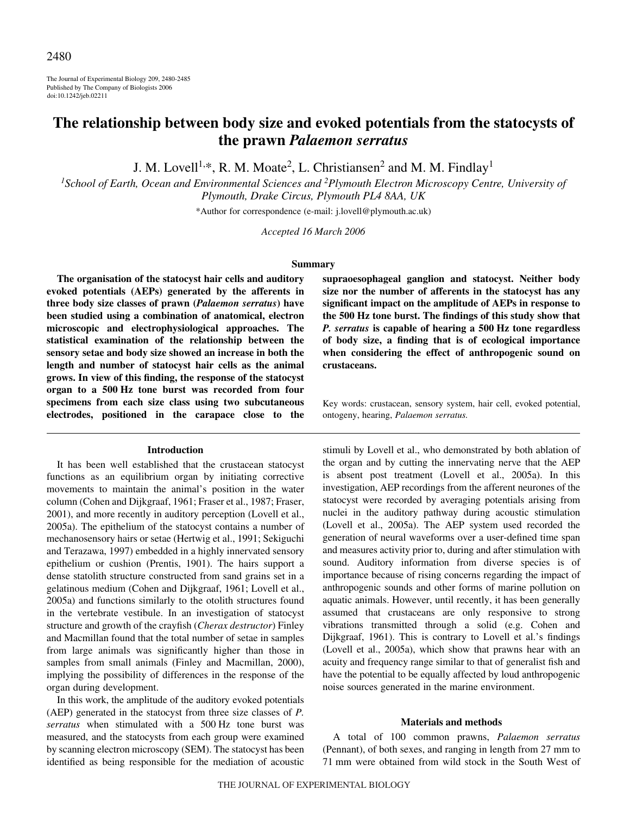The Journal of Experimental Biology 209, 2480-2485 Published by The Company of Biologists 2006 doi:10.1242/jeb.02211

# **The relationship between body size and evoked potentials from the statocysts of the prawn** *Palaemon serratus*

J. M. Lovell<sup>1,\*</sup>, R. M. Moate<sup>2</sup>, L. Christiansen<sup>2</sup> and M. M. Findlay<sup>1</sup>

*1 School of Earth, Ocean and Environmental Sciences and <sup>2</sup> Plymouth Electron Microscopy Centre, University of Plymouth, Drake Circus, Plymouth PL4 8AA, UK*

\*Author for correspondence (e-mail: j.lovell@plymouth.ac.uk)

*Accepted 16 March 2006*

#### **Summary**

**The organisation of the statocyst hair cells and auditory evoked potentials (AEPs) generated by the afferents in three body size classes of prawn (***Palaemon serratus***) have been studied using a combination of anatomical, electron microscopic and electrophysiological approaches. The statistical examination of the relationship between the sensory setae and body size showed an increase in both the length and number of statocyst hair cells as the animal grows. In view of this finding, the response of the statocyst organ to a 500·Hz tone burst was recorded from four specimens from each size class using two subcutaneous electrodes, positioned in the carapace close to the**

#### **Introduction**

It has been well established that the crustacean statocyst functions as an equilibrium organ by initiating corrective movements to maintain the animal's position in the water column (Cohen and Dijkgraaf, 1961; Fraser et al., 1987; Fraser, 2001), and more recently in auditory perception (Lovell et al., 2005a). The epithelium of the statocyst contains a number of mechanosensory hairs or setae (Hertwig et al., 1991; Sekiguchi and Terazawa, 1997) embedded in a highly innervated sensory epithelium or cushion (Prentis, 1901). The hairs support a dense statolith structure constructed from sand grains set in a gelatinous medium (Cohen and Dijkgraaf, 1961; Lovell et al., 2005a) and functions similarly to the otolith structures found in the vertebrate vestibule. In an investigation of statocyst structure and growth of the crayfish (*Cherax destructor*) Finley and Macmillan found that the total number of setae in samples from large animals was significantly higher than those in samples from small animals (Finley and Macmillan, 2000), implying the possibility of differences in the response of the organ during development.

In this work, the amplitude of the auditory evoked potentials (AEP) generated in the statocyst from three size classes of *P.* serratus when stimulated with a 500 Hz tone burst was measured, and the statocysts from each group were examined by scanning electron microscopy (SEM). The statocyst has been identified as being responsible for the mediation of acoustic

**supraoesophageal ganglion and statocyst. Neither body size nor the number of afferents in the statocyst has any significant impact on the amplitude of AEPs in response to the 500·Hz tone burst. The findings of this study show that** *P. serratus* **is capable of hearing a 500·Hz tone regardless of body size, a finding that is of ecological importance when considering the effect of anthropogenic sound on crustaceans.**

Key words: crustacean, sensory system, hair cell, evoked potential, ontogeny, hearing, *Palaemon serratus.*

stimuli by Lovell et al., who demonstrated by both ablation of the organ and by cutting the innervating nerve that the AEP is absent post treatment (Lovell et al., 2005a). In this investigation, AEP recordings from the afferent neurones of the statocyst were recorded by averaging potentials arising from nuclei in the auditory pathway during acoustic stimulation (Lovell et al., 2005a). The AEP system used recorded the generation of neural waveforms over a user-defined time span and measures activity prior to, during and after stimulation with sound. Auditory information from diverse species is of importance because of rising concerns regarding the impact of anthropogenic sounds and other forms of marine pollution on aquatic animals. However, until recently, it has been generally assumed that crustaceans are only responsive to strong vibrations transmitted through a solid (e.g. Cohen and Dijkgraaf, 1961). This is contrary to Lovell et al.'s findings (Lovell et al., 2005a), which show that prawns hear with an acuity and frequency range similar to that of generalist fish and have the potential to be equally affected by loud anthropogenic noise sources generated in the marine environment.

#### **Materials and methods**

A total of 100 common prawns, *Palaemon serratus* (Pennant), of both sexes, and ranging in length from 27 mm to 71 mm were obtained from wild stock in the South West of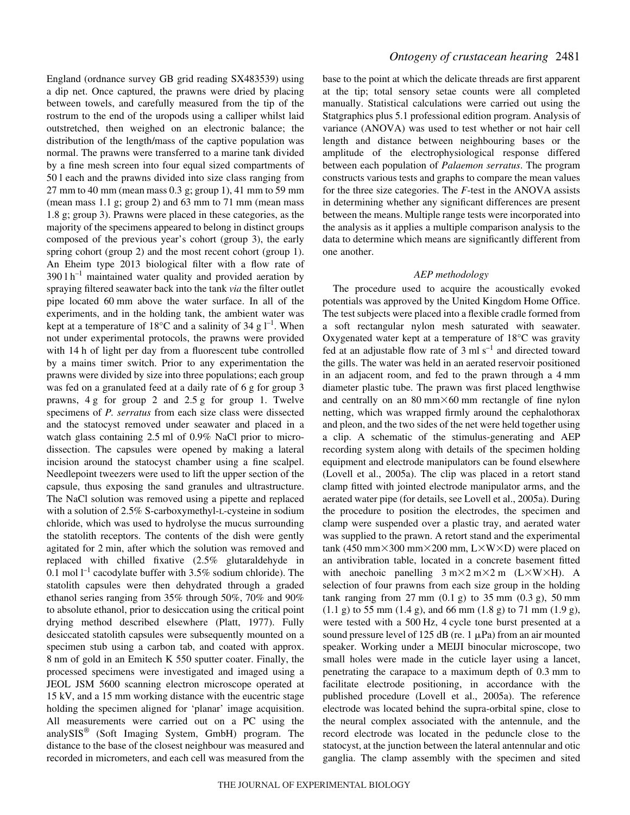England (ordnance survey GB grid reading SX483539) using a dip net. Once captured, the prawns were dried by placing between towels, and carefully measured from the tip of the rostrum to the end of the uropods using a calliper whilst laid outstretched, then weighed on an electronic balance; the distribution of the length/mass of the captive population was normal. The prawns were transferred to a marine tank divided by a fine mesh screen into four equal sized compartments of 50 l each and the prawns divided into size class ranging from  $27$  mm to 40 mm (mean mass 0.3 g; group 1), 41 mm to 59 mm (mean mass  $1.1$  g; group  $2$ ) and  $63$  mm to  $71$  mm (mean mass 1.8 g; group 3). Prawns were placed in these categories, as the majority of the specimens appeared to belong in distinct groups composed of the previous year's cohort (group 3), the early spring cohort (group 2) and the most recent cohort (group 1). An Eheim type 2013 biological filter with a flow rate of  $3901 h^{-1}$  maintained water quality and provided aeration by spraying filtered seawater back into the tank *via* the filter outlet pipe located 60 mm above the water surface. In all of the experiments, and in the holding tank, the ambient water was kept at a temperature of 18 $^{\circ}$ C and a salinity of 34 g l<sup>-1</sup>. When not under experimental protocols, the prawns were provided with 14 h of light per day from a fluorescent tube controlled by a mains timer switch. Prior to any experimentation the prawns were divided by size into three populations; each group was fed on a granulated feed at a daily rate of 6 g for group 3 prawns,  $4g$  for group 2 and  $2.5g$  for group 1. Twelve specimens of *P. serratus* from each size class were dissected and the statocyst removed under seawater and placed in a watch glass containing  $2.5$  ml of  $0.9\%$  NaCl prior to microdissection. The capsules were opened by making a lateral incision around the statocyst chamber using a fine scalpel. Needlepoint tweezers were used to lift the upper section of the capsule, thus exposing the sand granules and ultrastructure. The NaCl solution was removed using a pipette and replaced with a solution of 2.5% S-carboxymethyl-L-cysteine in sodium chloride, which was used to hydrolyse the mucus surrounding the statolith receptors. The contents of the dish were gently agitated for 2 min, after which the solution was removed and replaced with chilled fixative (2.5% glutaraldehyde in 0.1 mol  $l^{-1}$  cacodylate buffer with 3.5% sodium chloride). The statolith capsules were then dehydrated through a graded ethanol series ranging from 35% through 50%, 70% and 90% to absolute ethanol, prior to desiccation using the critical point drying method described elsewhere (Platt, 1977). Fully desiccated statolith capsules were subsequently mounted on a specimen stub using a carbon tab, and coated with approx. 8 nm of gold in an Emitech K 550 sputter coater. Finally, the processed specimens were investigated and imaged using a JEOL JSM 5600 scanning electron microscope operated at 15 kV, and a 15 mm working distance with the eucentric stage holding the specimen aligned for 'planar' image acquisition. All measurements were carried out on a PC using the analySIS® (Soft Imaging System, GmbH) program. The distance to the base of the closest neighbour was measured and recorded in micrometers, and each cell was measured from the

base to the point at which the delicate threads are first apparent at the tip; total sensory setae counts were all completed manually. Statistical calculations were carried out using the Statgraphics plus 5.1 professional edition program. Analysis of variance (ANOVA) was used to test whether or not hair cell length and distance between neighbouring bases or the amplitude of the electrophysiological response differed between each population of *Palaemon serratus*. The program constructs various tests and graphs to compare the mean values for the three size categories. The *F*-test in the ANOVA assists in determining whether any significant differences are present between the means. Multiple range tests were incorporated into the analysis as it applies a multiple comparison analysis to the data to determine which means are significantly different from one another.

# *AEP methodology*

The procedure used to acquire the acoustically evoked potentials was approved by the United Kingdom Home Office. The test subjects were placed into a flexible cradle formed from a soft rectangular nylon mesh saturated with seawater. Oxygenated water kept at a temperature of 18°C was gravity fed at an adjustable flow rate of 3 ml  $s^{-1}$  and directed toward the gills. The water was held in an aerated reservoir positioned in an adjacent room, and fed to the prawn through a 4 mm diameter plastic tube. The prawn was first placed lengthwise and centrally on an  $80 \text{ mm} \times 60 \text{ mm}$  rectangle of fine nylon netting, which was wrapped firmly around the cephalothorax and pleon, and the two sides of the net were held together using a clip. A schematic of the stimulus-generating and AEP recording system along with details of the specimen holding equipment and electrode manipulators can be found elsewhere (Lovell et al., 2005a). The clip was placed in a retort stand clamp fitted with jointed electrode manipulator arms, and the aerated water pipe (for details, see Lovell et al., 2005a). During the procedure to position the electrodes, the specimen and clamp were suspended over a plastic tray, and aerated water was supplied to the prawn. A retort stand and the experimental  $tanh(450~mm\times300~mm\times200~mm, L\times W\times D)$  were placed on an antivibration table, located in a concrete basement fitted with anechoic panelling  $3 \text{ m} \times 2 \text{ m} \times 2 \text{ m}$  (L $\times$ W $\times$ H). A selection of four prawns from each size group in the holding tank ranging from  $27$  mm  $(0.1$  g) to  $35$  mm  $(0.3$  g),  $50$  mm  $(1.1\text{ g})$  to 55 mm  $(1.4\text{ g})$ , and 66 mm  $(1.8\text{ g})$  to 71 mm  $(1.9\text{ g})$ , were tested with a 500 Hz, 4 cycle tone burst presented at a sound pressure level of 125 dB (re. 1  $\mu$ Pa) from an air mounted speaker. Working under a MEIJI binocular microscope, two small holes were made in the cuticle layer using a lancet, penetrating the carapace to a maximum depth of 0.3 mm to facilitate electrode positioning, in accordance with the published procedure (Lovell et al., 2005a). The reference electrode was located behind the supra-orbital spine, close to the neural complex associated with the antennule, and the record electrode was located in the peduncle close to the statocyst, at the junction between the lateral antennular and otic ganglia. The clamp assembly with the specimen and sited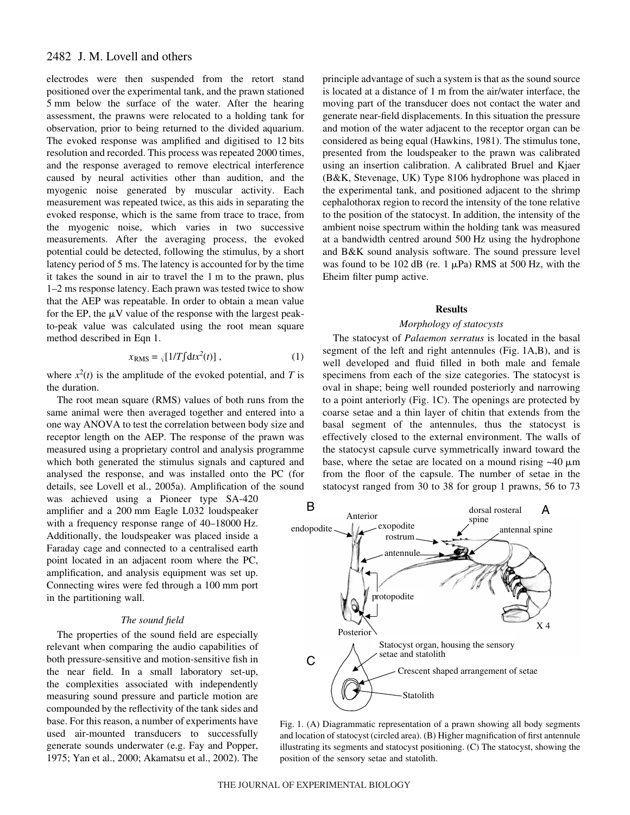# 2482 J. M. Lovell and others

electrodes were then suspended from the retort stand positioned over the experimental tank, and the prawn stationed 5 mm below the surface of the water. After the hearing assessment, the prawns were relocated to a holding tank for observation, prior to being returned to the divided aquarium. The evoked response was amplified and digitised to 12 bits resolution and recorded. This process was repeated 2000 times, and the response averaged to remove electrical interference caused by neural activities other than audition, and the myogenic noise generated by muscular activity. Each measurement was repeated twice, as this aids in separating the evoked response, which is the same from trace to trace, from the myogenic noise, which varies in two successive measurements. After the averaging process, the evoked potential could be detected, following the stimulus, by a short latency period of 5 ms. The latency is accounted for by the time it takes the sound in air to travel the 1 m to the prawn, plus 1–2 ms response latency. Each prawn was tested twice to show that the AEP was repeatable. In order to obtain a mean value for the EP, the  $\mu$ V value of the response with the largest peakto-peak value was calculated using the root mean square method described in Eqn 1.

$$
x_{\rm RMS} = \sqrt{[1/T]} \, \mathrm{d}t x^2(t) \, , \tag{1}
$$

where  $x^2(t)$  is the amplitude of the evoked potential, and *T* is the duration.

The root mean square (RMS) values of both runs from the same animal were then averaged together and entered into a one way ANOVA to test the correlation between body size and receptor length on the AEP. The response of the prawn was measured using a proprietary control and analysis programme which both generated the stimulus signals and captured and analysed the response, and was installed onto the PC (for details, see Lovell et al., 2005a). Amplification of the sound

was achieved using a Pioneer type SA-420 amplifier and a 200 mm Eagle L032 loudspeaker with a frequency response range of  $40-18000$  Hz. Additionally, the loudspeaker was placed inside a Faraday cage and connected to a centralised earth point located in an adjacent room where the PC, amplification, and analysis equipment was set up. Connecting wires were fed through a 100 mm port in the partitioning wall.

#### *The sound field*

The properties of the sound field are especially relevant when comparing the audio capabilities of both pressure-sensitive and motion-sensitive fish in the near field. In a small laboratory set-up, the complexities associated with independently measuring sound pressure and particle motion are compounded by the reflectivity of the tank sides and base. For this reason, a number of experiments have used air-mounted transducers to successfully generate sounds underwater (e.g. Fay and Popper, 1975; Yan et al., 2000; Akamatsu et al., 2002). The

principle advantage of such a system is that as the sound source is located at a distance of 1 m from the air/water interface, the moving part of the transducer does not contact the water and generate near-field displacements. In this situation the pressure and motion of the water adjacent to the receptor organ can be considered as being equal (Hawkins, 1981). The stimulus tone, presented from the loudspeaker to the prawn was calibrated using an insertion calibration. A calibrated Bruel and Kjaer (B&K, Stevenage, UK) Type 8106 hydrophone was placed in the experimental tank, and positioned adjacent to the shrimp cephalothorax region to record the intensity of the tone relative to the position of the statocyst. In addition, the intensity of the ambient noise spectrum within the holding tank was measured at a bandwidth centred around 500 Hz using the hydrophone and B&K sound analysis software. The sound pressure level was found to be 102 dB (re.  $1 \mu Pa$ ) RMS at 500 Hz, with the Eheim filter pump active.

#### **Results**

# *Morphology of statocysts*

The statocyst of *Palaemon serratus* is located in the basal segment of the left and right antennules (Fig. 1A,B), and is well developed and fluid filled in both male and female specimens from each of the size categories. The statocyst is oval in shape; being well rounded posteriorly and narrowing to a point anteriorly (Fig. 1C). The openings are protected by coarse setae and a thin layer of chitin that extends from the basal segment of the antennules, thus the statocyst is effectively closed to the external environment. The walls of the statocyst capsule curve symmetrically inward toward the base, where the setae are located on a mound rising  $\sim$ 40  $\mu$ m from the floor of the capsule. The number of setae in the statocyst ranged from 30 to 38 for group 1 prawns, 56 to 73



Fig. 1. (A) Diagrammatic representation of a prawn showing all body segments and location of statocyst (circled area). (B) Higher magnification of first antennule illustrating its segments and statocyst positioning. (C) The statocyst, showing the position of the sensory setae and statolith.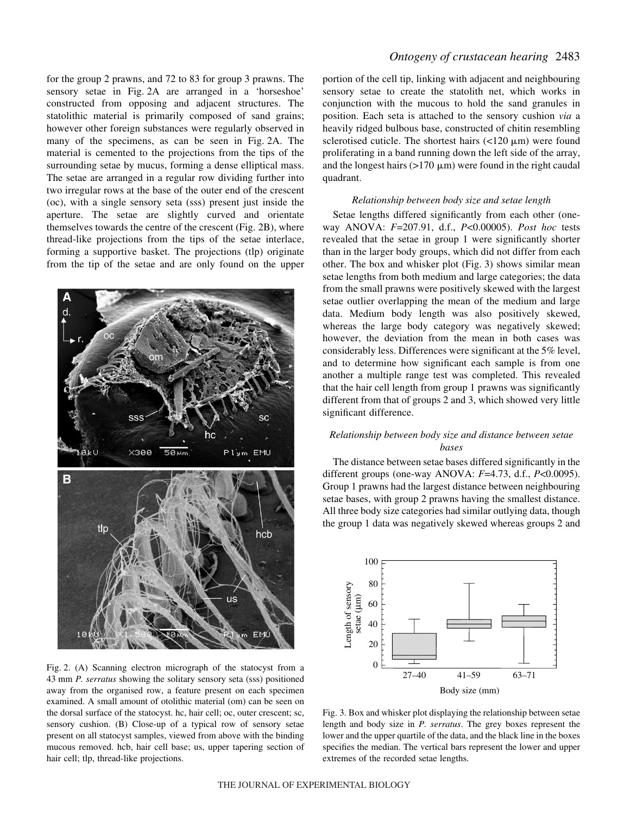for the group 2 prawns, and 72 to 83 for group 3 prawns. The sensory setae in Fig. 2A are arranged in a 'horseshoe' constructed from opposing and adjacent structures. The statolithic material is primarily composed of sand grains; however other foreign substances were regularly observed in many of the specimens, as can be seen in Fig. 2A. The material is cemented to the projections from the tips of the surrounding setae by mucus, forming a dense elliptical mass. The setae are arranged in a regular row dividing further into two irregular rows at the base of the outer end of the crescent (oc), with a single sensory seta (sss) present just inside the aperture. The setae are slightly curved and orientate themselves towards the centre of the crescent (Fig. 2B), where thread-like projections from the tips of the setae interlace, forming a supportive basket. The projections (tlp) originate from the tip of the setae and are only found on the upper



Fig. 2. (A) Scanning electron micrograph of the statocyst from a 43 mm *P. serratus* showing the solitary sensory seta (sss) positioned away from the organised row, a feature present on each specimen examined. A small amount of otolithic material (om) can be seen on the dorsal surface of the statocyst. hc, hair cell; oc, outer crescent; sc, sensory cushion. (B) Close-up of a typical row of sensory setae present on all statocyst samples, viewed from above with the binding mucous removed. hcb, hair cell base; us, upper tapering section of hair cell; tlp, thread-like projections.

# *Ontogeny of crustacean hearing* 2483

portion of the cell tip, linking with adjacent and neighbouring sensory setae to create the statolith net, which works in conjunction with the mucous to hold the sand granules in position. Each seta is attached to the sensory cushion *via* a heavily ridged bulbous base, constructed of chitin resembling sclerotised cuticle. The shortest hairs  $\left($ <120  $\mu$ m) were found proliferating in a band running down the left side of the array, and the longest hairs  $(>170 \mu m)$  were found in the right caudal quadrant.

### *Relationship between body size and setae length*

Setae lengths differed significantly from each other (oneway ANOVA: *F*=207.91, d.f., *P*<0.00005). *Post hoc* tests revealed that the setae in group 1 were significantly shorter than in the larger body groups, which did not differ from each other. The box and whisker plot (Fig. 3) shows similar mean setae lengths from both medium and large categories; the data from the small prawns were positively skewed with the largest setae outlier overlapping the mean of the medium and large data. Medium body length was also positively skewed, whereas the large body category was negatively skewed; however, the deviation from the mean in both cases was considerably less. Differences were significant at the 5% level, and to determine how significant each sample is from one another a multiple range test was completed. This revealed that the hair cell length from group 1 prawns was significantly different from that of groups 2 and 3, which showed very little significant difference.

# *Relationship between body size and distance between setae bases*

The distance between setae bases differed significantly in the different groups (one-way ANOVA: *F*=4.73, d.f., *P*<0.0095). Group 1 prawns had the largest distance between neighbouring setae bases, with group 2 prawns having the smallest distance. All three body size categories had similar outlying data, though the group 1 data was negatively skewed whereas groups 2 and



Fig. 3. Box and whisker plot displaying the relationship between setae length and body size in *P. serratus*. The grey boxes represent the lower and the upper quartile of the data, and the black line in the boxes specifies the median. The vertical bars represent the lower and upper extremes of the recorded setae lengths.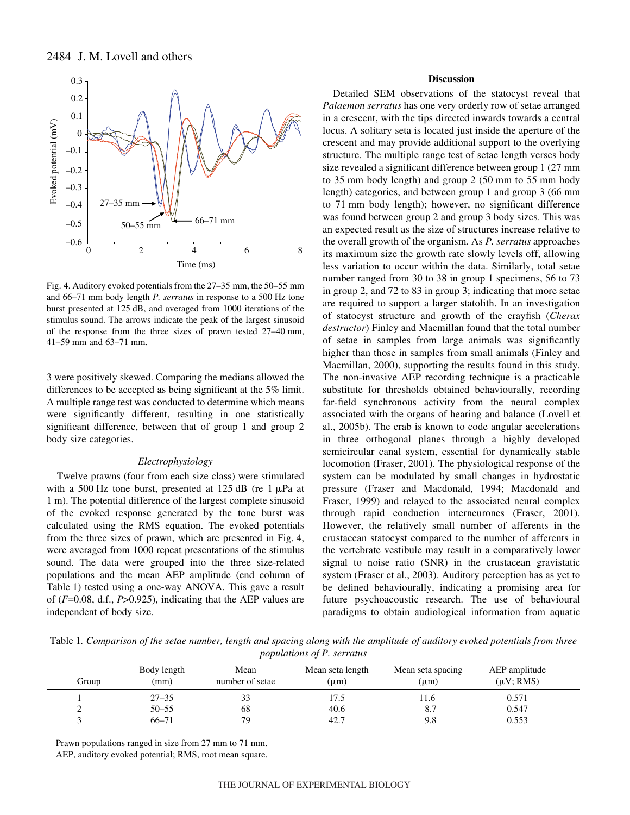



Fig. 4. Auditory evoked potentials from the 27–35 mm, the 50–55 mm and 66–71 mm body length *P. serratus* in response to a 500 Hz tone burst presented at 125·dB, and averaged from 1000 iterations of the stimulus sound. The arrows indicate the peak of the largest sinusoid of the response from the three sizes of prawn tested 27–40 mm, 41–59 mm and  $63-71$  mm.

3 were positively skewed. Comparing the medians allowed the differences to be accepted as being significant at the 5% limit. A multiple range test was conducted to determine which means were significantly different, resulting in one statistically significant difference, between that of group 1 and group 2 body size categories.

#### *Electrophysiology*

Twelve prawns (four from each size class) were stimulated with a 500 Hz tone burst, presented at 125 dB (re 1  $\mu$ Pa at 1 m). The potential difference of the largest complete sinusoid of the evoked response generated by the tone burst was calculated using the RMS equation. The evoked potentials from the three sizes of prawn, which are presented in Fig. 4, were averaged from 1000 repeat presentations of the stimulus sound. The data were grouped into the three size-related populations and the mean AEP amplitude (end column of Table 1) tested using a one-way ANOVA. This gave a result of (*F*=0.08, d.f., *P*>0.925), indicating that the AEP values are independent of body size.

# **Discussion**

Detailed SEM observations of the statocyst reveal that *Palaemon serratus* has one very orderly row of setae arranged in a crescent, with the tips directed inwards towards a central locus. A solitary seta is located just inside the aperture of the crescent and may provide additional support to the overlying structure. The multiple range test of setae length verses body size revealed a significant difference between group 1 (27 mm) to  $35$  mm body length) and group  $2$  (50 mm to  $55$  mm body length) categories, and between group 1 and group 3 (66 mm to 71 mm body length); however, no significant difference was found between group 2 and group 3 body sizes. This was an expected result as the size of structures increase relative to the overall growth of the organism. As *P. serratus* approaches its maximum size the growth rate slowly levels off, allowing less variation to occur within the data. Similarly, total setae number ranged from 30 to 38 in group 1 specimens, 56 to 73 in group 2, and 72 to 83 in group 3; indicating that more setae are required to support a larger statolith. In an investigation of statocyst structure and growth of the crayfish (*Cherax destructor*) Finley and Macmillan found that the total number of setae in samples from large animals was significantly higher than those in samples from small animals (Finley and Macmillan, 2000), supporting the results found in this study. The non-invasive AEP recording technique is a practicable substitute for thresholds obtained behaviourally, recording far-field synchronous activity from the neural complex associated with the organs of hearing and balance (Lovell et al., 2005b). The crab is known to code angular accelerations in three orthogonal planes through a highly developed semicircular canal system, essential for dynamically stable locomotion (Fraser, 2001). The physiological response of the system can be modulated by small changes in hydrostatic pressure (Fraser and Macdonald, 1994; Macdonald and Fraser, 1999) and relayed to the associated neural complex through rapid conduction interneurones (Fraser, 2001). However, the relatively small number of afferents in the crustacean statocyst compared to the number of afferents in the vertebrate vestibule may result in a comparatively lower signal to noise ratio (SNR) in the crustacean gravistatic system (Fraser et al., 2003). Auditory perception has as yet to be defined behaviourally, indicating a promising area for future psychoacoustic research. The use of behavioural paradigms to obtain audiological information from aquatic

Table 1. Comparison of the setae number, length and spacing along with the amplitude of auditory evoked potentials from three *populations of P. serratus*

| Group  | Body length<br>(mm) | Mean<br>number of setae | Mean seta length<br>$(\mu m)$ | Mean seta spacing<br>$(\mu m)$ | AEP amplitude<br>$(\mu V; RMS)$ |
|--------|---------------------|-------------------------|-------------------------------|--------------------------------|---------------------------------|
|        | $27 - 35$           | 33                      | 17.5                          | . 1.6                          | 0.571                           |
| ◠<br>∼ | $50 - 55$           | 68                      | 40.6                          | 8.7                            | 0.547                           |
|        | $66 - 71$           | 79                      | 42.7                          | 9.8                            | 0.553                           |

Prawn populations ranged in size from 27 mm to 71 mm.

AEP, auditory evoked potential; RMS, root mean square.